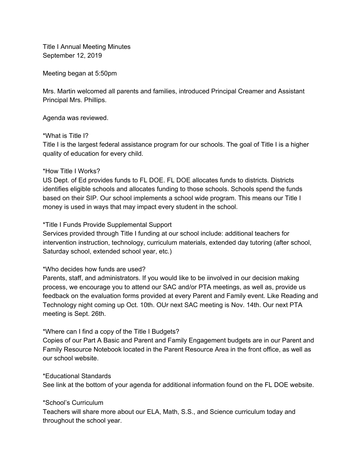Title I Annual Meeting Minutes September 12, 2019

Meeting began at 5:50pm

Mrs. Martin welcomed all parents and families, introduced Principal Creamer and Assistant Principal Mrs. Phillips.

Agenda was reviewed.

### \*What is Title I?

Title I is the largest federal assistance program for our schools. The goal of Title I is a higher quality of education for every child.

# \*How Title I Works?

US Dept. of Ed provides funds to FL DOE. FL DOE allocates funds to districts. Districts identifies eligible schools and allocates funding to those schools. Schools spend the funds based on their SIP. Our school implements a school wide program. This means our Title I money is used in ways that may impact every student in the school.

# \*Title I Funds Provide Supplemental Support

Services provided through Title I funding at our school include: additional teachers for intervention instruction, technology, curriculum materials, extended day tutoring (after school, Saturday school, extended school year, etc.)

# \*Who decides how funds are used?

Parents, staff, and administrators. If you would like to be iinvolved in our decision making process, we encourage you to attend our SAC and/or PTA meetings, as well as, provide us feedback on the evaluation forms provided at every Parent and Family event. Like Reading and Technology night coming up Oct. 10th. OUr next SAC meeting is Nov. 14th. Our next PTA meeting is Sept. 26th.

# \*Where can I find a copy of the Title I Budgets?

Copies of our Part A Basic and Parent and Family Engagement budgets are in our Parent and Family Resource Notebook located in the Parent Resource Area in the front office, as well as our school website.

#### \*Educational Standards

See link at the bottom of your agenda for additional information found on the FL DOE website.

# \*School's Curriculum

Teachers will share more about our ELA, Math, S.S., and Science curriculum today and throughout the school year.